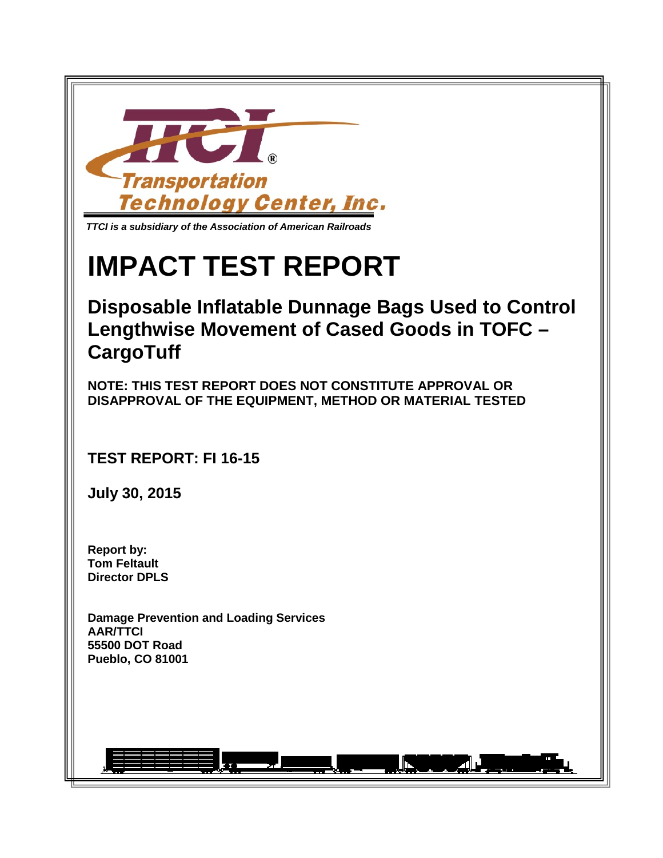

# **IMPACT TEST REPORT**

# **Disposable Inflatable Dunnage Bags Used to Control Lengthwise Movement of Cased Goods in TOFC – CargoTuff**

**NOTE: THIS TEST REPORT DOES NOT CONSTITUTE APPROVAL OR DISAPPROVAL OF THE EQUIPMENT, METHOD OR MATERIAL TESTED**

**TEST REPORT: FI 16-15**

**July 30, 2015**

**Report by: Tom Feltault Director DPLS**

**Damage Prevention and Loading Services AAR/TTCI 55500 DOT Road Pueblo, CO 81001**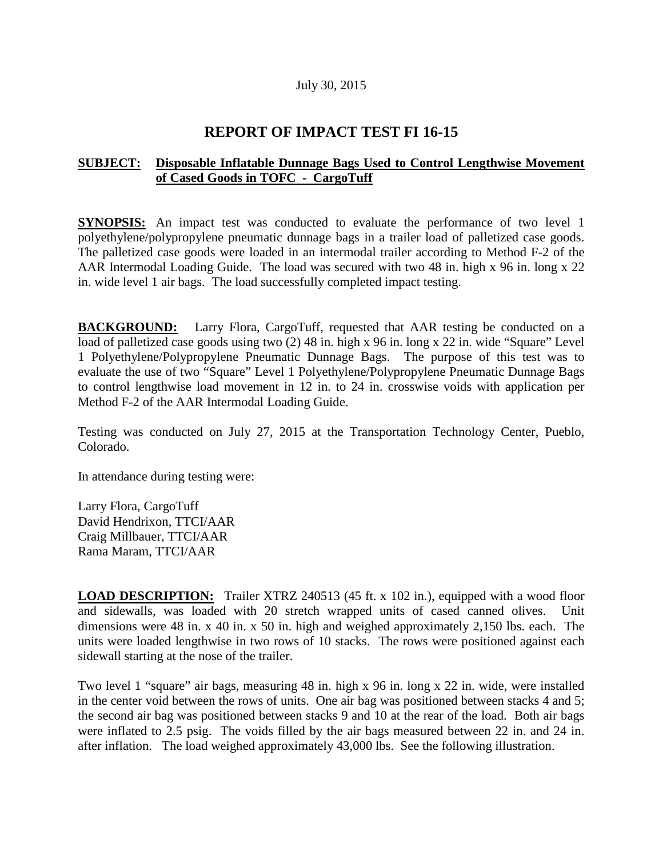#### July 30, 2015

## **REPORT OF IMPACT TEST FI 16-15**

### **SUBJECT: Disposable Inflatable Dunnage Bags Used to Control Lengthwise Movement of Cased Goods in TOFC - CargoTuff**

**SYNOPSIS:** An impact test was conducted to evaluate the performance of two level 1 polyethylene/polypropylene pneumatic dunnage bags in a trailer load of palletized case goods. The palletized case goods were loaded in an intermodal trailer according to Method F-2 of the AAR Intermodal Loading Guide. The load was secured with two 48 in. high x 96 in. long x 22 in. wide level 1 air bags. The load successfully completed impact testing.

**BACKGROUND:** Larry Flora, CargoTuff, requested that AAR testing be conducted on a load of palletized case goods using two (2) 48 in. high x 96 in. long x 22 in. wide "Square" Level 1 Polyethylene/Polypropylene Pneumatic Dunnage Bags. The purpose of this test was to evaluate the use of two "Square" Level 1 Polyethylene/Polypropylene Pneumatic Dunnage Bags to control lengthwise load movement in 12 in. to 24 in. crosswise voids with application per Method F-2 of the AAR Intermodal Loading Guide.

Testing was conducted on July 27, 2015 at the Transportation Technology Center, Pueblo, Colorado.

In attendance during testing were:

Larry Flora, CargoTuff David Hendrixon, TTCI/AAR Craig Millbauer, TTCI/AAR Rama Maram, TTCI/AAR

**LOAD DESCRIPTION:** Trailer XTRZ 240513 (45 ft. x 102 in.), equipped with a wood floor and sidewalls, was loaded with 20 stretch wrapped units of cased canned olives. Unit dimensions were 48 in. x 40 in. x 50 in. high and weighed approximately 2,150 lbs. each. The units were loaded lengthwise in two rows of 10 stacks. The rows were positioned against each sidewall starting at the nose of the trailer.

Two level 1 "square" air bags, measuring 48 in. high x 96 in. long x 22 in. wide, were installed in the center void between the rows of units. One air bag was positioned between stacks 4 and 5; the second air bag was positioned between stacks 9 and 10 at the rear of the load. Both air bags were inflated to 2.5 psig. The voids filled by the air bags measured between 22 in. and 24 in. after inflation. The load weighed approximately 43,000 lbs. See the following illustration.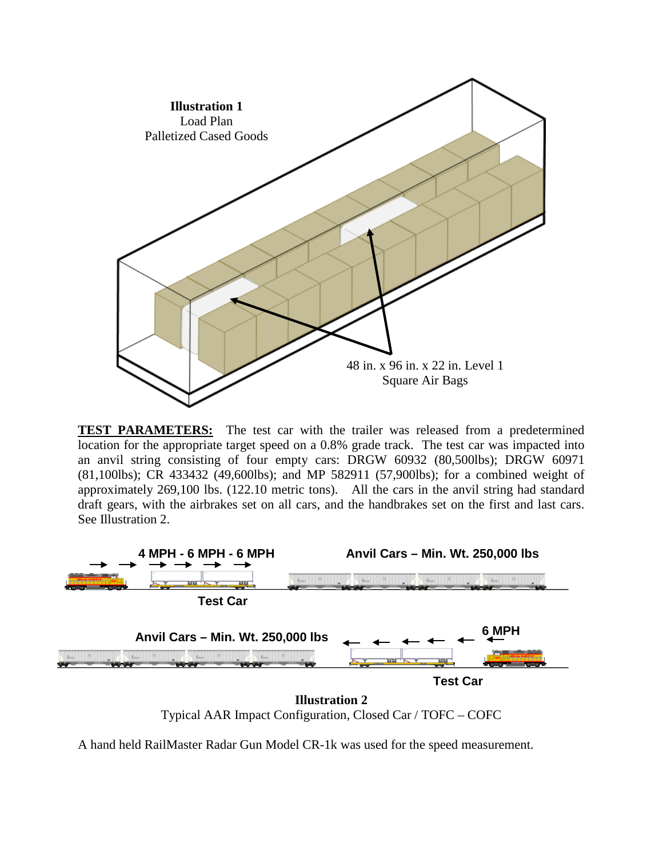

**TEST PARAMETERS:** The test car with the trailer was released from a predetermined location for the appropriate target speed on a 0.8% grade track. The test car was impacted into an anvil string consisting of four empty cars: DRGW 60932 (80,500lbs); DRGW 60971 (81,100lbs); CR 433432 (49,600lbs); and MP 582911 (57,900lbs); for a combined weight of approximately 269,100 lbs. (122.10 metric tons). All the cars in the anvil string had standard draft gears, with the airbrakes set on all cars, and the handbrakes set on the first and last cars. See Illustration 2.



Typical AAR Impact Configuration, Closed Car / TOFC – COFC

A hand held RailMaster Radar Gun Model CR-1k was used for the speed measurement.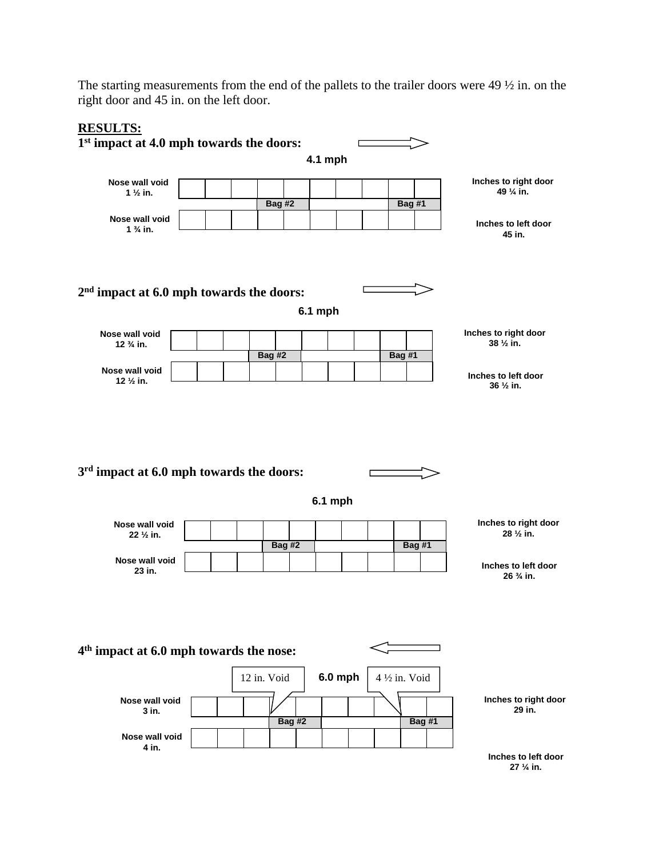The starting measurements from the end of the pallets to the trailer doors were 49 ½ in. on the right door and 45 in. on the left door.



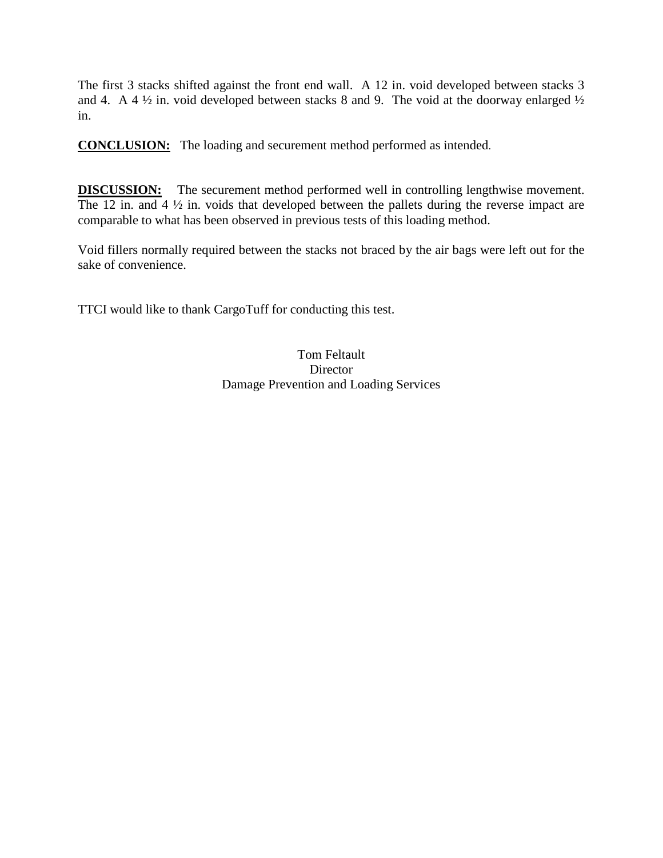The first 3 stacks shifted against the front end wall. A 12 in. void developed between stacks 3 and 4. A 4  $\frac{1}{2}$  in. void developed between stacks 8 and 9. The void at the doorway enlarged  $\frac{1}{2}$ in.

**CONCLUSION:** The loading and securement method performed as intended.

**DISCUSSION:** The securement method performed well in controlling lengthwise movement. The 12 in. and  $4\frac{1}{2}$  in. voids that developed between the pallets during the reverse impact are comparable to what has been observed in previous tests of this loading method.

Void fillers normally required between the stacks not braced by the air bags were left out for the sake of convenience.

TTCI would like to thank CargoTuff for conducting this test.

Tom Feltault **Director** Damage Prevention and Loading Services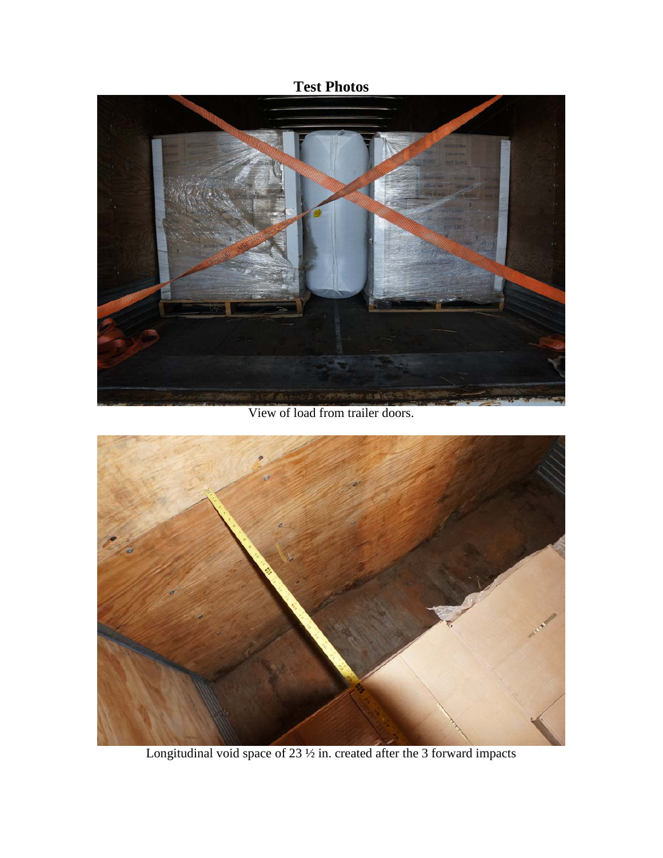# **Test Photos**



View of load from trailer doors.



Longitudinal void space of 23  $\frac{1}{2}$  in. created after the 3 forward impacts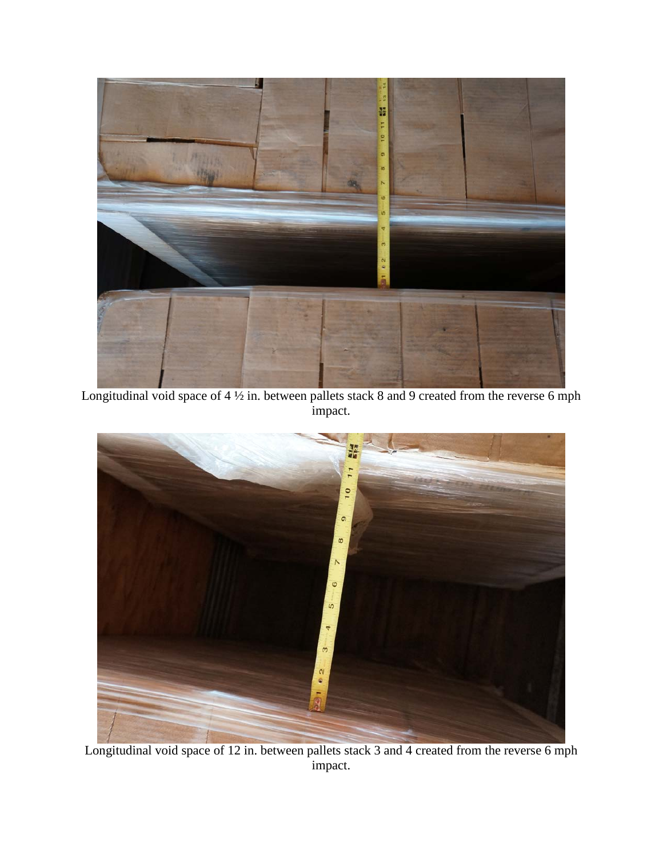

Longitudinal void space of  $4\frac{1}{2}$  in. between pallets stack 8 and 9 created from the reverse 6 mph impact.



Longitudinal void space of 12 in. between pallets stack 3 and 4 created from the reverse 6 mph impact.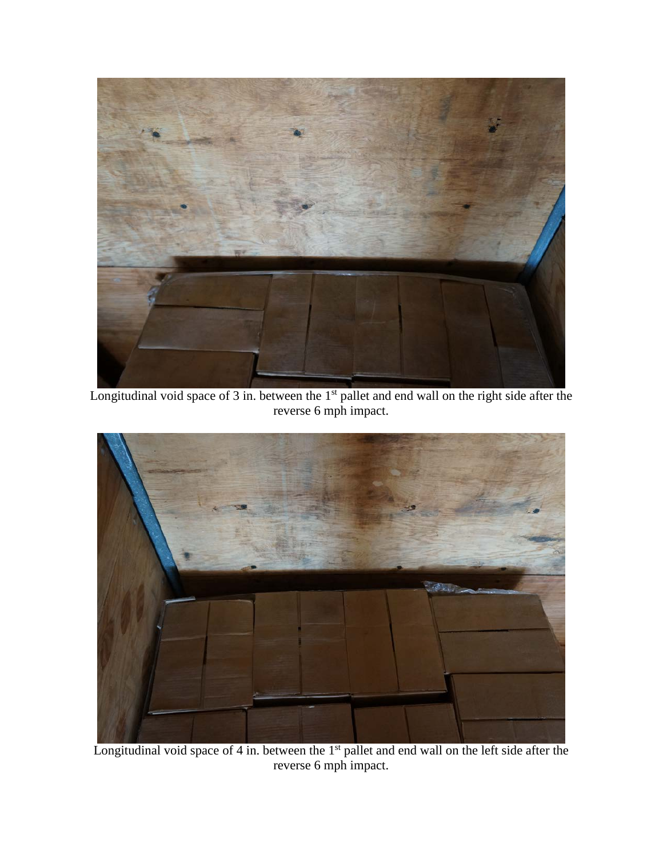

Longitudinal void space of 3 in. between the 1<sup>st</sup> pallet and end wall on the right side after the reverse 6 mph impact.



Longitudinal void space of 4 in. between the 1<sup>st</sup> pallet and end wall on the left side after the reverse 6 mph impact.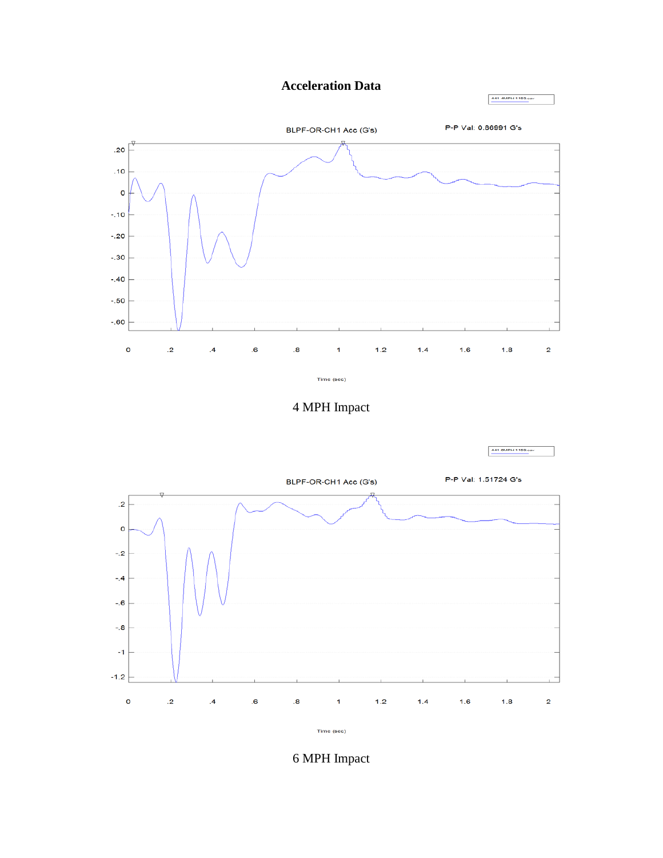## **Acceleration Data**

441 4MPH 1153.esv

441 BMPH 1159.esv

P-P Val: 0.86991 G's BLPF-OR-CH1 Acc (G's)  $.20$  $.10$  $\mathsf{o}$  $-.10$  $-.20$  $-.30$  $-.40$  $-.50$  $-0.60$  $\mathbf{o}$  $\overline{.2}$  $\overline{\mathbf{6}}$  $\overline{\mathbf{8}}$  $1.2$  $1.4$  $1.6$  $1.8$  $\mathbf 2$  $\overline{A}$  $\mathbf{1}$ 

Time (sec)



P-P Val: 1.51724 G's BLPF-OR-CH1 Acc (G's)  $\cdot$ .2  $\mathbf 0$  $-2$  $-4$  $-0.6$  $-0.8$  $-1$  $-1.2$  $\mathbf 0$  $\mathbf{.2}$  $\overline{\mathbf{6}}$  $\overline{\mathbf{8}}$  $1.2$  $1.4$  $1.6$  $1.8$  $\mathbf 2$  $\mathcal{A}$  $\overline{1}$ Time (sec)

6 MPH Impact